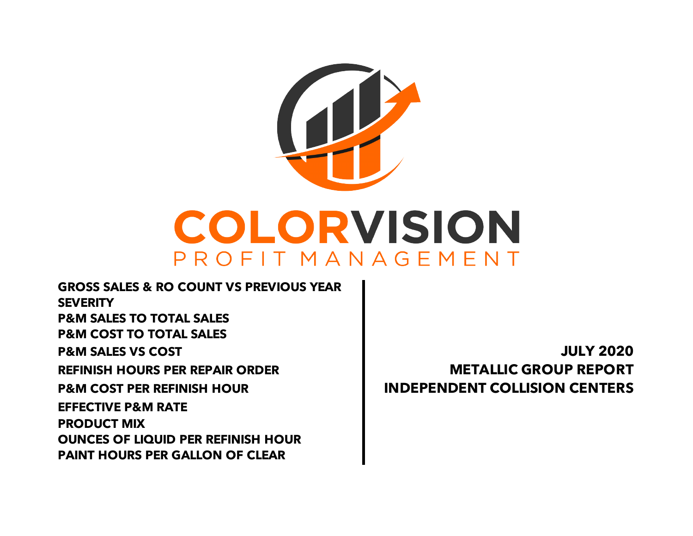

**PAINT HOURS PER GALLON OF CLEAR EFFECTIVE P&M RATE PRODUCT MIX OUNCES OF LIQUID PER REFINISH HOUR REFINISH HOURS PER REPAIR ORDER METALLIC GROUP REPORT P&M COST PER REFINISH HOUR INDEPENDENT COLLISION CENTERS GROSS SALES & RO COUNT VS PREVIOUS YEAR SEVERITY P&M SALES TO TOTAL SALES P&M COST TO TOTAL SALES P&M SALES VS COST JULY 2020**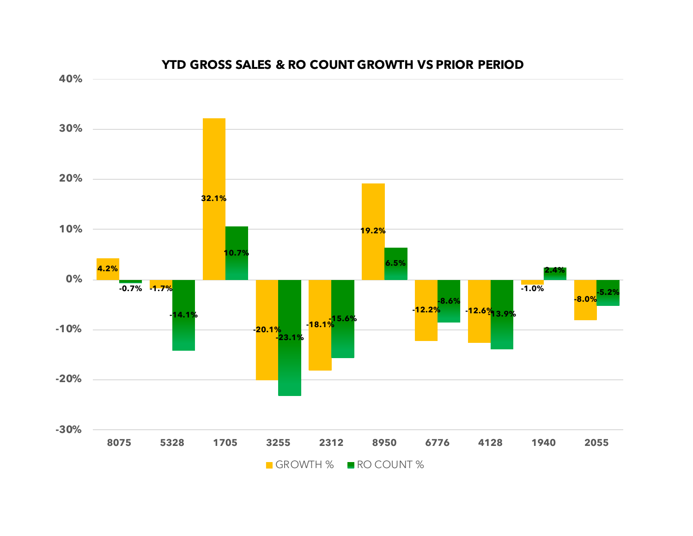

#### **YTD GROSS SALES & RO COUNT GROWTH VS PRIOR PERIOD**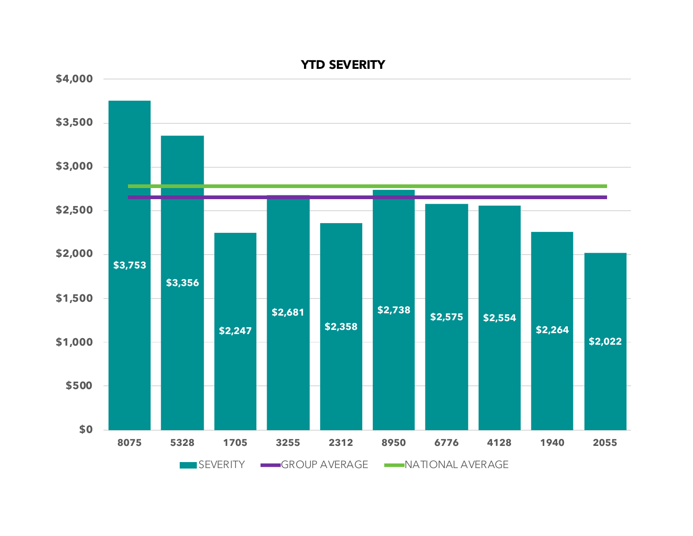

### **YTD SEVERITY**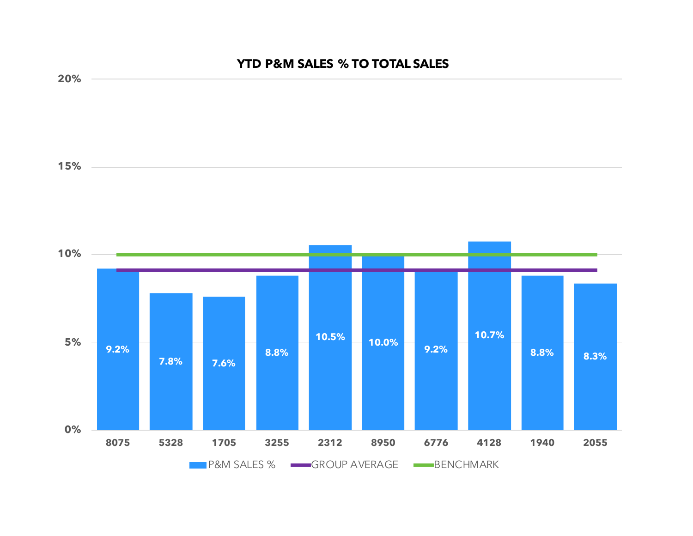## **YTD P&M SALES % TO TOTAL SALES**

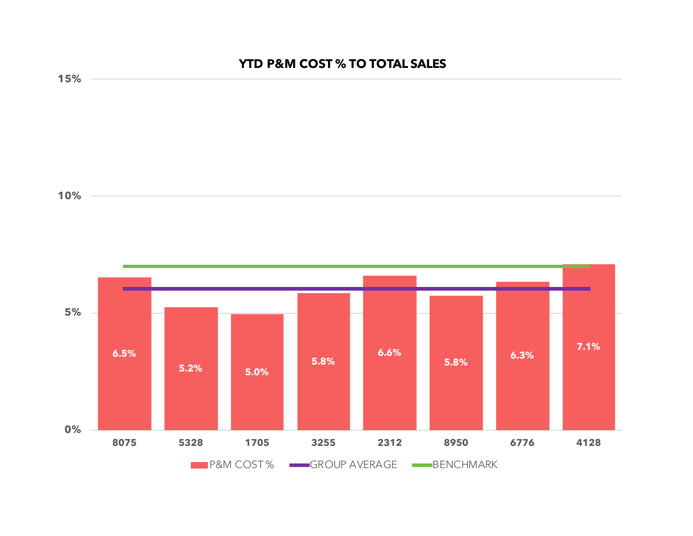# **YTD P&M COST % TO TOTAL SALES**



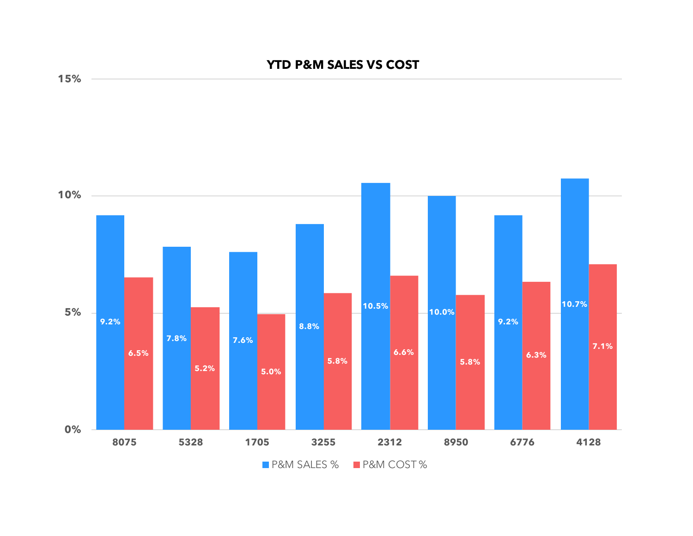## **YTD P&M SALES VS COST**



**15%**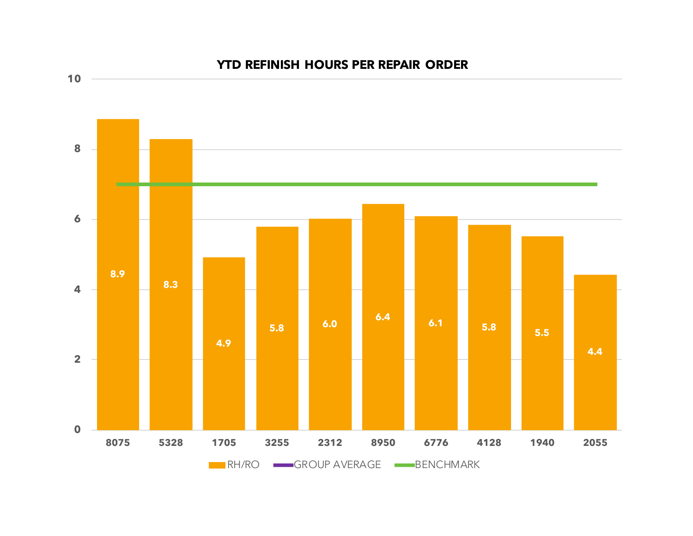

### **YTD REFINISH HOURS PER REPAIR ORDER**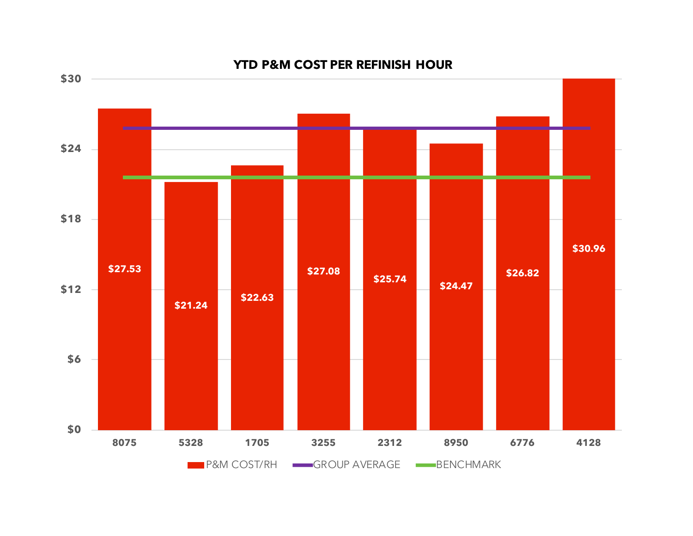

#### **YTD P&M COST PER REFINISH HOUR**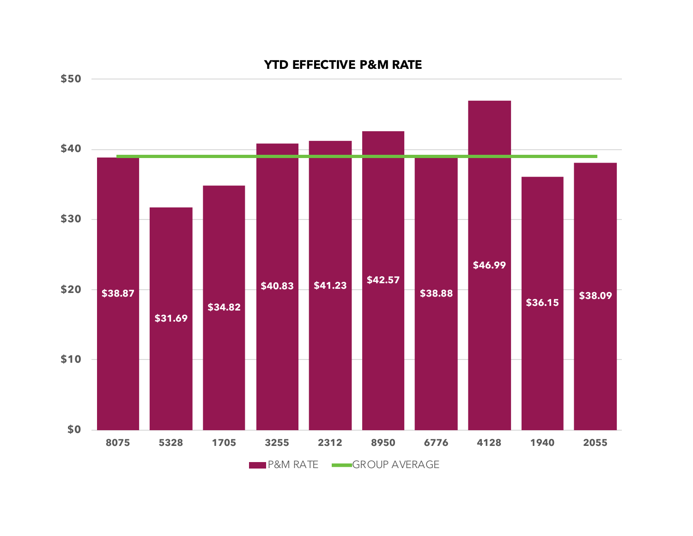# **\$38.87 \$31.69 \$34.82 \$40.83 \$41.23 \$42.57 \$38.88 \$46.99 \$36.15 \$38.09 \$0 \$10 \$20 \$30 \$40 \$50 8075 5328 1705 3255 2312 8950 6776 4128 1940 2055**

**P&M RATE** GROUP AVERAGE

**YTD EFFECTIVE P&M RATE**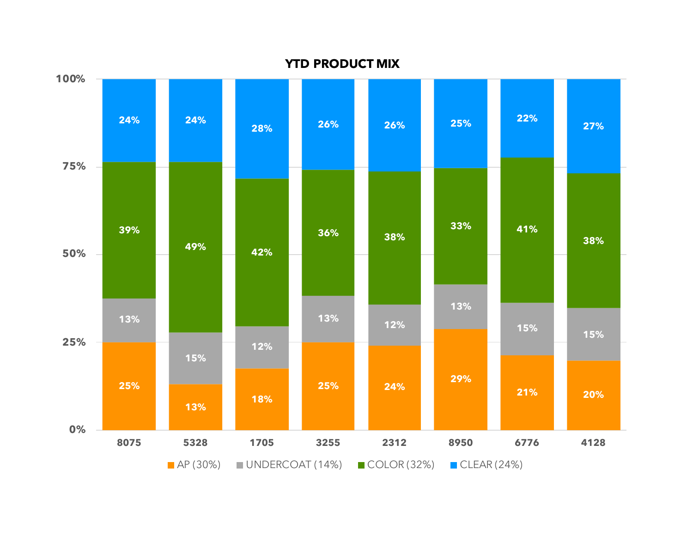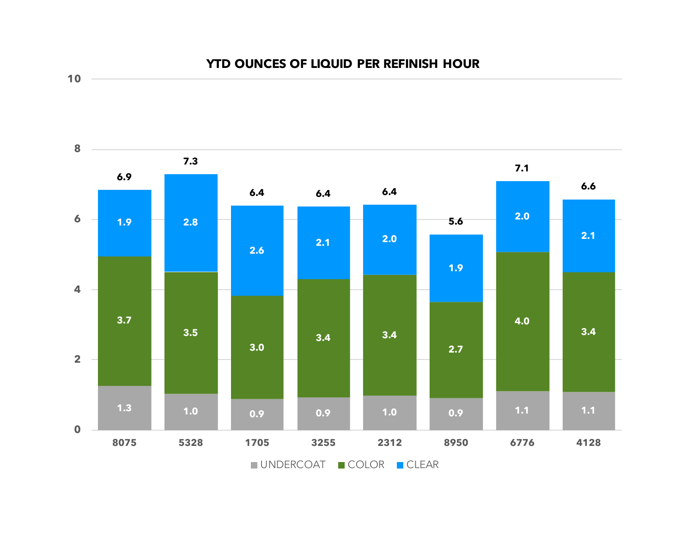



**10**